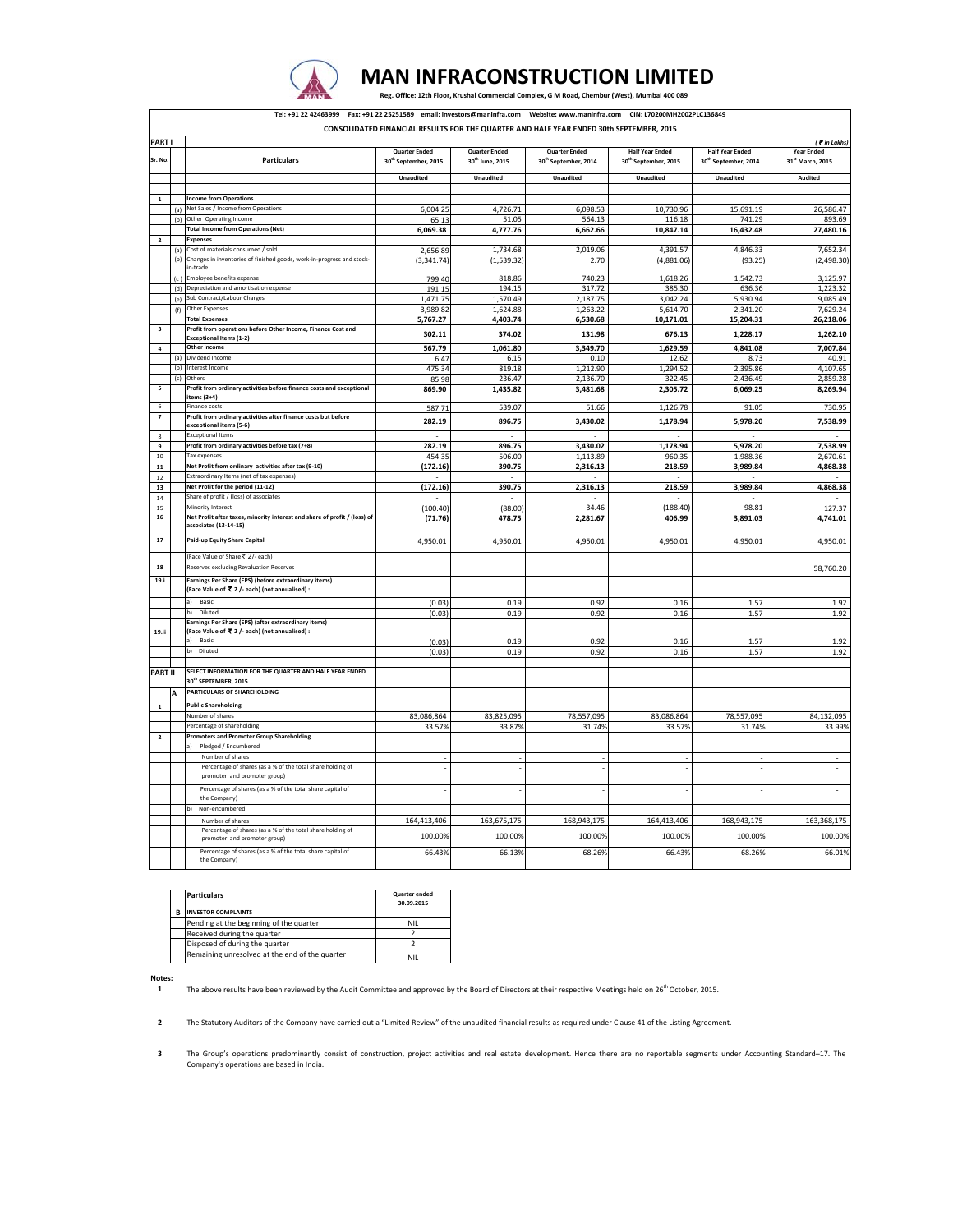

## Reg. Office: 12th Floor, Krushal Commercial Complex, G M Road, Chembur (West), Mumbai 400 089  **MAN INFRACONSTRUCTION LIMITED**

|                         |     | Tel: +91 22 42463999    Fax: +91 22 25251589    email: investors@maninfra.com                           |                                  |                             | Website: www.maninfra.com CIN: L70200MH2002PLC136849                                    |                                  |                                  |                                     |
|-------------------------|-----|---------------------------------------------------------------------------------------------------------|----------------------------------|-----------------------------|-----------------------------------------------------------------------------------------|----------------------------------|----------------------------------|-------------------------------------|
|                         |     |                                                                                                         |                                  |                             |                                                                                         |                                  |                                  |                                     |
|                         |     |                                                                                                         |                                  |                             | CONSOLIDATED FINANCIAL RESULTS FOR THE QUARTER AND HALF YEAR ENDED 30th SEPTEMBER, 2015 |                                  |                                  |                                     |
| PART I                  |     |                                                                                                         | <b>Quarter Ended</b>             | <b>Quarter Ended</b>        | <b>Quarter Ended</b>                                                                    | <b>Half Year Ended</b>           | <b>Half Year Ended</b>           | (<br>in Lakhs)<br><b>Year Ended</b> |
| Sr. No                  |     | <b>Particulars</b>                                                                                      | 30 <sup>th</sup> September, 2015 | 30 <sup>th</sup> June, 2015 | 30 <sup>th</sup> September, 2014                                                        | 30 <sup>th</sup> September, 2015 | 30 <sup>th</sup> September, 2014 | 31 <sup>st</sup> March, 2015        |
|                         |     |                                                                                                         |                                  |                             |                                                                                         |                                  |                                  |                                     |
|                         |     |                                                                                                         | <b>Unaudited</b>                 | Unaudited                   | Unaudited                                                                               | Unaudited                        | <b>Unaudited</b>                 | Audited                             |
| $\mathbf{1}$            |     | <b>Income from Operations</b>                                                                           |                                  |                             |                                                                                         |                                  |                                  |                                     |
|                         | (a) | Net Sales / Income from Operations                                                                      | 6,004.25                         | 4,726.71                    | 6,098.53                                                                                | 10,730.96                        | 15,691.19                        | 26,586.47                           |
|                         | (b) | Other Operating Incom                                                                                   | 65.13                            | 51.05                       | 564.13                                                                                  | 116.18                           | 741.29                           | 893.69                              |
|                         |     | <b>Total Income from Operations (Net)</b>                                                               | 6,069.38                         | 4,777.76                    | 6,662.66                                                                                | 10,847.14                        | 16,432.48                        | 27,480.16                           |
|                         |     | <b>Expenses</b>                                                                                         |                                  |                             |                                                                                         |                                  |                                  |                                     |
|                         | (a) | Cost of materials consumed / sold                                                                       | 2,656.89                         | 1,734.68                    | 2,019.06                                                                                | 4,391.57                         | 4,846.33                         | 7,652.34                            |
|                         | (b) | Changes in inventories of finished goods, work-in-progress and stock<br>in-trade                        | (3, 341.74)                      | (1,539.32)                  | 2.70                                                                                    | (4,881.06)                       | (93.25)                          | (2, 498.30)                         |
|                         | (c) | Employee benefits expense                                                                               | 799.40                           | 818.86                      | 740.23                                                                                  | 1,618.26                         | 1.542.73                         | 3.125.97                            |
|                         | (d) | Depreciation and amortisation expense                                                                   | 191.15                           | 194.15                      | 317.72                                                                                  | 385.30                           | 636.36                           | 1,223.32                            |
|                         | (e) | Sub Contract/Labour Charges                                                                             | 1.471.75                         | 1.570.49                    | 2.187.75                                                                                | 3,042.24                         | 5.930.94                         | 9,085.49                            |
|                         | (f) | Other Expenses                                                                                          | 3,989.82                         | 1,624.88                    | 1,263.22                                                                                | 5,614.70                         | 2,341.20                         | 7,629.24                            |
|                         |     | <b>Total Expenses</b>                                                                                   | 5,767.27                         | 4,403.74                    | 6,530.68                                                                                | 10,171.01                        | 15,204.31                        | 26,218.06                           |
| $\overline{\mathbf{3}}$ |     | Profit from operations before Other Income, Finance Cost and<br><b>Exceptional Items (1-2)</b>          | 302.11                           | 374.02                      | 131.98                                                                                  | 676.13                           | 1,228.17                         | 1,262.10                            |
| $\pmb{4}$               |     | Other Income                                                                                            | 567.79                           | 1,061.80                    | 3,349.70                                                                                | 1,629.59                         | 4,841.08                         | 7,007.84                            |
|                         | (a) | Dividend Income                                                                                         | 6.47                             | 6.15                        | 0.10                                                                                    | 12.62                            | 8.73                             | 40.91                               |
|                         | (b) | Interest Income                                                                                         | 475.34                           | 819.18                      | 1,212.90                                                                                | 1,294.52                         | 2,395.86                         | 4,107.65                            |
| 5                       | (c) | Others<br>Profit from ordinary activities before finance costs and exceptional                          | 85.98                            | 236.47                      | 2,136.70                                                                                | 322.45                           | 2,436.49                         | 2,859.28                            |
|                         |     | items (3+4)                                                                                             | 869.90                           | 1,435.82                    | 3,481.68                                                                                | 2,305.72                         | 6,069.25                         | 8,269.94                            |
| 6                       |     | <b>Finance costs</b>                                                                                    | 587.71                           | 539.07                      | 51.66                                                                                   | 1,126.78                         | 91.05                            | 730.95                              |
| 7                       |     | Profit from ordinary activities after finance costs but before                                          | 282.19                           | 896.75                      | 3,430.02                                                                                | 1,178.94                         | 5,978.20                         | 7,538.99                            |
|                         |     | exceptional items (5-6)<br><b>Exceptional Items</b>                                                     |                                  |                             |                                                                                         |                                  |                                  |                                     |
| $\bf{8}$<br>9           |     | Profit from ordinary activities before tax (7+8)                                                        | 282.19                           | 896.75                      | 3,430.02                                                                                | 1,178.94                         | 5,978.20                         | 7,538.99                            |
| 10                      |     | Tax expenses                                                                                            | 454.35                           | 506.00                      | 1,113.89                                                                                | 960.35                           | 1,988.36                         | 2,670.61                            |
| 11                      |     | Net Profit from ordinary activities after tax (9-10)                                                    | (172.16)                         | 390.75                      | 2,316.13                                                                                | 218.59                           | 3,989.84                         | 4,868.38                            |
| 12                      |     | Extraordinary Items (net of tax expenses)                                                               |                                  |                             |                                                                                         |                                  |                                  |                                     |
| 13                      |     | Net Profit for the period (11-12)                                                                       | (172.16)                         | 390.75                      | 2,316.13                                                                                | 218.59                           | 3,989.84                         | 4,868.38                            |
| 14                      |     | Share of profit / (loss) of associates                                                                  |                                  |                             |                                                                                         |                                  |                                  |                                     |
| $15\,$<br>16            |     | Minority Interest<br>Net Profit after taxes, minority interest and share of profit / (loss) of          | (100.40)                         | (88.00)                     | 34.46                                                                                   | (188.40)<br>406.99               | 98.81                            | 127.37                              |
|                         |     | associates (13-14-15)                                                                                   | (71.76)                          | 478.75                      | 2,281.67                                                                                |                                  | 3,891.03                         | 4,741.01                            |
| 17                      |     | Paid-up Equity Share Capital                                                                            | 4,950.01                         | 4,950.01                    | 4,950.01                                                                                | 4,950.01                         | 4,950.01                         | 4,950.01                            |
| 18                      |     | (Face Value of Share ₹ 2/- each)<br>Reserves excluding Revaluation Reserves                             |                                  |                             |                                                                                         |                                  |                                  |                                     |
| 19.i                    |     |                                                                                                         |                                  |                             |                                                                                         |                                  |                                  | 58,760.20                           |
|                         |     | Earnings Per Share (EPS) (before extraordinary items)<br>(Face Value of ₹ 2 /- each) (not annualised) : |                                  |                             |                                                                                         |                                  |                                  |                                     |
|                         |     | a) Basic                                                                                                | (0.03)                           | 0.19                        | 0.92                                                                                    | 0.16                             | 1.57                             | 1.92                                |
|                         |     | Diluted<br>b).<br>Earnings Per Share (EPS) (after extraordinary items)                                  | (0.03)                           | 0.19                        | 0.92                                                                                    | 0.16                             | 1.57                             | 1.92                                |
| 19.ii                   |     | (Face Value of ₹ 2 /- each) (not annualised) :                                                          |                                  |                             |                                                                                         |                                  |                                  |                                     |
|                         |     | a) Basic                                                                                                | (0.03)                           | 0.19                        | 0.92                                                                                    | 0.16                             | 1.57                             | 1.92                                |
|                         |     | b) Diluted                                                                                              | (0.03)                           | 0.19                        | 0.92                                                                                    | 0.16                             | 1.57                             | 1.92                                |
|                         |     |                                                                                                         |                                  |                             |                                                                                         |                                  |                                  |                                     |
| <b>PART II</b>          |     | SELECT INFORMATION FOR THE QUARTER AND HALF YEAR ENDED.<br>30 <sup>th</sup> SEPTEMBER, 2015             |                                  |                             |                                                                                         |                                  |                                  |                                     |
|                         | A   | PARTICULARS OF SHAREHOLDING                                                                             |                                  |                             |                                                                                         |                                  |                                  |                                     |
|                         |     | <b>Public Shareholding</b>                                                                              |                                  |                             |                                                                                         |                                  |                                  |                                     |
| $\mathbf 1$             |     | Number of shares                                                                                        | 83,086,864                       | 83,825,095                  | 78,557,095                                                                              | 83,086,864                       | 78,557,095                       | 84,132,095                          |
|                         |     | Percentage of shareholding                                                                              | 33.57%                           | 33.87%                      | 31.74%                                                                                  | 33.579                           | 31.74%                           | 33.99%                              |
| $\mathbf 2$             |     | <b>Promoters and Promoter Group Shareholding</b>                                                        |                                  |                             |                                                                                         |                                  |                                  |                                     |
|                         |     | Pledged / Encumbered                                                                                    |                                  |                             |                                                                                         |                                  |                                  |                                     |
|                         |     | Number of shares                                                                                        |                                  |                             |                                                                                         |                                  |                                  |                                     |
|                         |     | Percentage of shares (as a % of the total share holding of<br>promoter and promoter group)              |                                  |                             |                                                                                         |                                  |                                  |                                     |
|                         |     | Percentage of shares (as a % of the total share capital of<br>the Company)                              |                                  |                             |                                                                                         |                                  |                                  |                                     |
|                         |     | Non-encumbered<br>b)                                                                                    |                                  |                             |                                                                                         |                                  |                                  |                                     |
|                         |     | Number of shares<br>Percentage of shares (as a % of the total share holding of                          | 164,413,406                      | 163,675,175                 | 168,943,175                                                                             | 164,413,406                      | 168,943,175                      | 163,368,175                         |
|                         |     | promoter and promoter group)                                                                            | 100.00%                          | 100.00%                     | 100.00%                                                                                 | 100.00%                          | 100.00%                          | 100.00%                             |
|                         |     | Percentage of shares (as a % of the total share capital of<br>the Company)                              | 66.43%                           | 66.13%                      | 68.26%                                                                                  | 66.43%                           | 68.26%                           | 66.01%                              |

| <b>Particulars</b>                             | <b>Quarter ended</b><br>30.09.2015 |
|------------------------------------------------|------------------------------------|
| <b>INVESTOR COMPLAINTS</b>                     |                                    |
| Pending at the beginning of the quarter        | <b>NII</b>                         |
| Received during the quarter                    |                                    |
| Disposed of during the quarter                 |                                    |
| Remaining unresolved at the end of the quarter | <b>NII</b>                         |

**Notes:**

**1** The above results have been reviewed by the Audit Committee and approved by the Board of Directors at their respective Meetings held on  $26^{th}$  October, 2015.

**2** The Statutory Auditors of the Company have carried out a "Limited Review" of the unaudited financial results as required under Clause 41 of the Listing Agreement.

**3** The Group's operations predominantly consist of construction, project activities and real estate development. Hence there are no reportable segments under Accounting Standard–17. The Company's operations are based in India.